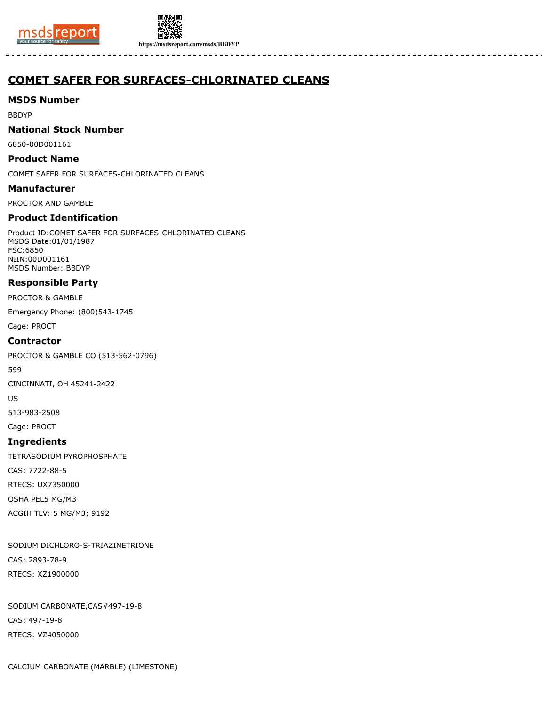



**https://msdsreport.com/msds/BBDYP**

# **COMET SAFER FOR SURFACES-CHLORINATED CLEANS**

# **MSDS Number**

BBDYP

# **National Stock Number**

6850-00D001161

# **Product Name**

COMET SAFER FOR SURFACES-CHLORINATED CLEANS

# **Manufacturer**

PROCTOR AND GAMBLE

# **Product Identification**

Product ID:COMET SAFER FOR SURFACES-CHLORINATED CLEANS MSDS Date:01/01/1987 FSC:6850 NIIN:00D001161 MSDS Number: BBDYP

# **Responsible Party**

PROCTOR & GAMBLE

Emergency Phone: (800)543-1745

Cage: PROCT

# **Contractor**

PROCTOR & GAMBLE CO (513-562-0796)

599

CINCINNATI, OH 45241-2422

US

513-983-2508

Cage: PROCT

# **Ingredients**

TETRASODIUM PYROPHOSPHATE

CAS: 7722-88-5

RTECS: UX7350000

OSHA PEL5 MG/M3

ACGIH TLV: 5 MG/M3; 9192

SODIUM DICHLORO-S-TRIAZINETRIONE CAS: 2893-78-9 RTECS: XZ1900000

SODIUM CARBONATE,CAS#497-19-8 CAS: 497-19-8 RTECS: VZ4050000

CALCIUM CARBONATE (MARBLE) (LIMESTONE)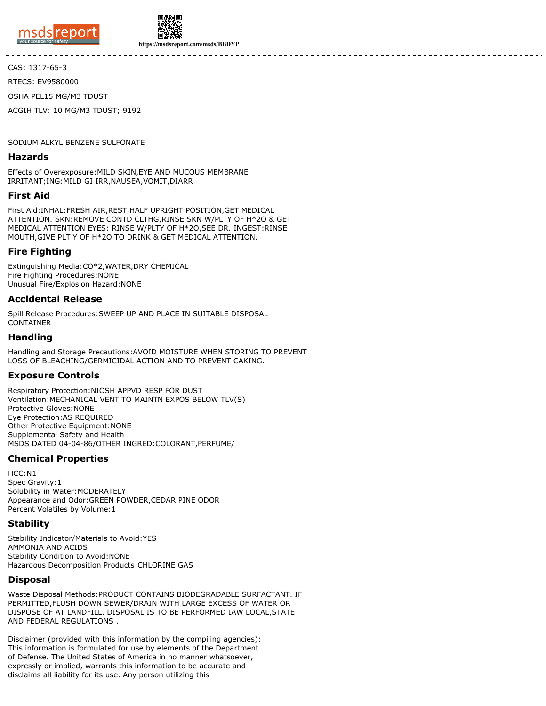

![](_page_1_Picture_1.jpeg)

**https://msdsreport.com/msds/BBDYP**

CAS: 1317-65-3

RTECS: EV9580000

OSHA PEL15 MG/M3 TDUST

ACGIH TLV: 10 MG/M3 TDUST; 9192

SODIUM ALKYL BENZENE SULFONATE

#### **Hazards**

Effects of Overexposure:MILD SKIN,EYE AND MUCOUS MEMBRANE IRRITANT;ING:MILD GI IRR,NAUSEA,VOMIT,DIARR

#### **First Aid**

First Aid:INHAL:FRESH AIR,REST,HALF UPRIGHT POSITION,GET MEDICAL ATTENTION. SKN:REMOVE CONTD CLTHG,RINSE SKN W/PLTY OF H\*2O & GET MEDICAL ATTENTION EYES: RINSE W/PLTY OF H\*2O,SEE DR. INGEST:RINSE MOUTH,GIVE PLT Y OF H\*2O TO DRINK & GET MEDICAL ATTENTION.

### **Fire Fighting**

Extinguishing Media:CO\*2,WATER,DRY CHEMICAL Fire Fighting Procedures:NONE Unusual Fire/Explosion Hazard:NONE

### **Accidental Release**

Spill Release Procedures:SWEEP UP AND PLACE IN SUITABLE DISPOSAL **CONTAINER** 

# **Handling**

Handling and Storage Precautions:AVOID MOISTURE WHEN STORING TO PREVENT LOSS OF BLEACHING/GERMICIDAL ACTION AND TO PREVENT CAKING.

# **Exposure Controls**

Respiratory Protection:NIOSH APPVD RESP FOR DUST Ventilation:MECHANICAL VENT TO MAINTN EXPOS BELOW TLV(S) Protective Gloves:NONE Eye Protection:AS REQUIRED Other Protective Equipment:NONE Supplemental Safety and Health MSDS DATED 04-04-86/OTHER INGRED:COLORANT,PERFUME/

# **Chemical Properties**

HCC:N1 Spec Gravity:1 Solubility in Water:MODERATELY Appearance and Odor:GREEN POWDER,CEDAR PINE ODOR Percent Volatiles by Volume:1

### **Stability**

Stability Indicator/Materials to Avoid:YES AMMONIA AND ACIDS Stability Condition to Avoid:NONE Hazardous Decomposition Products:CHLORINE GAS

### **Disposal**

Waste Disposal Methods:PRODUCT CONTAINS BIODEGRADABLE SURFACTANT. IF PERMITTED,FLUSH DOWN SEWER/DRAIN WITH LARGE EXCESS OF WATER OR DISPOSE OF AT LANDFILL. DISPOSAL IS TO BE PERFORMED IAW LOCAL,STATE AND FEDERAL REGULATIONS .

Disclaimer (provided with this information by the compiling agencies): This information is formulated for use by elements of the Department of Defense. The United States of America in no manner whatsoever, expressly or implied, warrants this information to be accurate and disclaims all liability for its use. Any person utilizing this